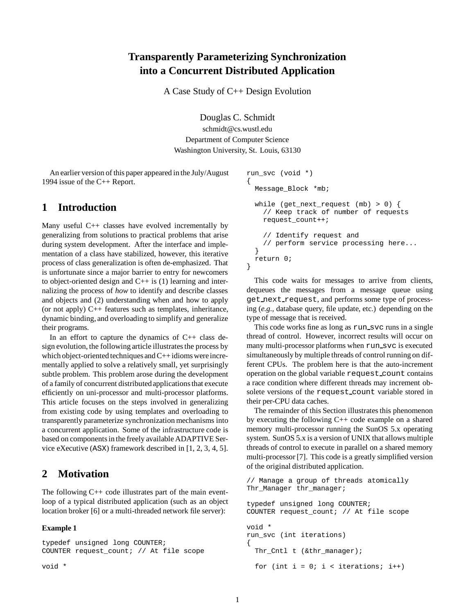# **Transparently Parameterizing Synchronization into a Concurrent Distributed Application**

A Case Study of C++ Design Evolution

Douglas C. Schmidt schmidt@cs.wustl.edu Department of Computer Science Washington University, St. Louis, 63130

An earlier version of this paper appeared in the July/August 1994 issue of the C++ Report.

## **1 Introduction**

Many useful C++ classes have evolved incrementally by generalizing from solutions to practical problems that arise during system development. After the interface and implementation of a class have stabilized, however, this iterative process of class generalization is often de-emphasized. That is unfortunate since a major barrier to entry for newcomers to object-oriented design and  $C++$  is (1) learning and internalizing the process of *how* to identify and describe classes and objects and (2) understanding when and how to apply (or not apply)  $C_{++}$  features such as templates, inheritance, dynamic binding, and overloading to simplify and generalize their programs.

In an effort to capture the dynamics of  $C++$  class design evolution, the following article illustrates the process by which object-oriented techniques and C++ idioms were incrementally applied to solve a relatively small, yet surprisingly subtle problem. This problem arose during the development of a family of concurrent distributedapplications that execute efficiently on uni-processor and multi-processor platforms. This article focuses on the steps involved in generalizing from existing code by using templates and overloading to transparently parameterize synchronization mechanisms into a concurrent application. Some of the infrastructure code is based on components in the freely available ADAPTIVE Service eXecutive (ASX) framework described in [1, 2, 3, 4, 5].

# **2 Motivation**

The following  $C++$  code illustrates part of the main eventloop of a typical distributed application (such as an object location broker [6] or a multi-threaded network file server):

### **Example 1**

typedef unsigned long COUNTER; COUNTER request\_count; // At file scope

void \*

```
run_svc (void *)
{
  Message_Block *mb;
  while (get_next_request (mb) > 0) {
    // Keep track of number of requests
    request_count++;
    // Identify request and
    // perform service processing here...
  }
  return 0;
}
```
This code waits for messages to arrive from clients, dequeues the messages from a message queue using get next request, and performs some type of processing (*e.g.,* database query, file update, etc.) depending on the type of message that is received.

This code works fine as long as run svc runs in a single thread of control. However, incorrect results will occur on many multi-processor platforms when run\_svc is executed simultaneously by multiple threads of control running on different CPUs. The problem here is that the auto-increment operation on the global variable request count contains a race condition where different threads may increment obsolete versions of the request\_count variable stored in their per-CPU data caches.

The remainder of this Section illustrates this phenomenon by executing the following C++ code example on a shared memory multi-processor running the SunOS 5.x operating system. SunOS 5.x is a version of UNIX that allows multiple threads of control to execute in parallel on a shared memory multi-processor [7]. This code is a greatly simplified version of the original distributed application.

```
// Manage a group of threads atomically
Thr_Manager thr_manager;
typedef unsigned long COUNTER;
COUNTER request_count; // At file scope
void *
run_svc (int iterations)
{
  Thr_Cntl t (&thr_manager);
  for (int i = 0; i < iterations; i++)
```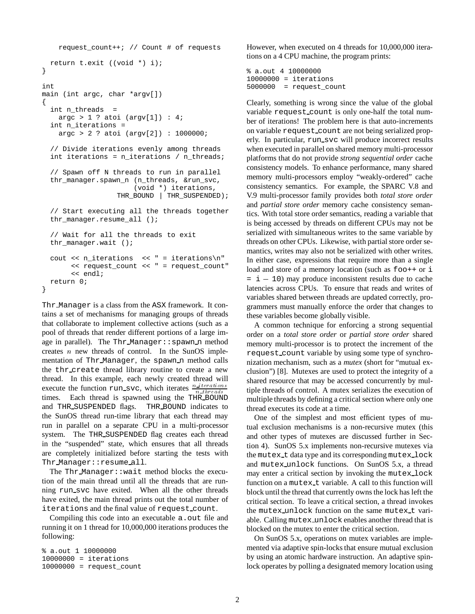```
request_count++; // Count # of requests
  return t.exit ((void *) i);
}
int
main (int argc, char *argv[])
{
  int n_threads =
    \arg c > 1 ? atoi (\arg v[1]) : 4;int n_iterations =
    \text{argc} > 2 ? atoi (\text{argv}[2]) : 1000000;
  // Divide iterations evenly among threads
  int iterations = n_iterations / n_threads;
  // Spawn off N threads to run in parallel
  thr_manager.spawn_n (n_threads, &run_svc,
                       (void *) iterations,
                   THR_BOUND | THR_SUSPENDED);
  // Start executing all the threads together
  thr_manager.resume_all ();
  // Wait for all the threads to exit
  thr_manager.wait ();
  cout << n_iterations << " = iterations\n"
       << request_count << " = request_count"
       << endl;
  return 0;
}
```
Thr Manager is a class from the ASX framework. It contains a set of mechanisms for managing groups of threads that collaborate to implement collective actions (such as a pool of threads that render different portions of a large image in parallel). The  $Thr_M$ anager:: spawn n method creates  $n$  new threads of control. In the SunOS implementation of Thr Manager, the spawn n method calls the thr create thread library routine to create a new thread. In this example, each newly created thread will execute the function run svc, which iterates  $\frac{n \text{ } iterations}{n + h \text{ } mod n}$ times. Each thread is spawned using the THR BOUND and THR SUSPENDED flags. THR BOUND indicates to the SunOS thread run-time library that each thread may run in parallel on a separate CPU in a multi-processor system. The THR SUSPENDED flag creates each thread in the "suspended" state, which ensures that all threads are completely initialized before starting the tests with Thr Manager::resume all.

The Thr Manager::wait method blocks the execution of the main thread until all the threads that are running run svc have exited. When all the other threads have exited, the main thread prints out the total number of iterations and the final value of request count.

Compiling this code into an executable a.out file and running it on 1 thread for 10,000,000 iterations produces the following:

% a.out 1 10000000  $10000000 =$  iterations 10000000 = request\_count However, when executed on 4 threads for 10,000,000 iterations on a 4 CPU machine, the program prints:

```
% a.out 4 10000000
10000000 = iterations
5000000 = \text{request\_count}
```
Clearly, something is wrong since the value of the global variable request count is only one-half the total number of iterations! The problem here is that auto-increments on variable request count are not being serialized properly. In particular, run svc will produce incorrect results when executed in parallel on shared memory multi-processor platforms that do not provide *strong sequential order* cache consistency models. To enhance performance, many shared memory multi-processors employ "weakly-ordered" cache consistency semantics. For example, the SPARC V.8 and V.9 multi-processor family provides both *total store order* and *partial store order* memory cache consistency semantics. With total store order semantics, reading a variable that is being accessed by threads on different CPUs may not be serialized with simultaneous writes to the same variable by threads on other CPUs. Likewise, with partial store order semantics, writes may also not be serialized with other writes. In either case, expressions that require more than a single load and store of a memory location (such as  $f \circ \circ f + o \circ f$  i  $=$   $\dot{1}$  – 10) may produce inconsistent results due to cache latencies across CPUs. To ensure that reads and writes of variables shared between threads are updated correctly, programmers must manually enforce the order that changes to these variables become globally visible.

A common technique for enforcing a strong sequential order on a *total store order* or *partial store order* shared memory multi-processor is to protect the increment of the request count variable by using some type of synchronization mechanism, such as a *mutex* (short for "mutual exclusion") [8]. Mutexes are used to protect the integrity of a shared resource that may be accessed concurrently by multiple threads of control. A mutex serializes the execution of multiple threads by defining a critical section where only one thread executes its code at a time.

One of the simplest and most efficient types of mutual exclusion mechanisms is a non-recursive mutex (this and other types of mutexes are discussed further in Section 4). SunOS 5.x implements non-recursive mutexes via the mutex\_t data type and its corresponding mutex\_lock and mutex unlock functions. On SunOS 5.x, a thread may enter a critical section by invoking the mutex lock function on a mutex\_t variable. A call to this function will block until the thread that currently owns the lock has left the critical section. To leave a critical section, a thread invokes the mutex\_unlock function on the same mutex\_t variable. Calling mutex unlock enables another thread that is blocked on the mutex to enter the critical section.

On SunOS 5.x, operations on mutex variables are implemented via adaptive spin-locks that ensure mutual exclusion by using an atomic hardware instruction. An adaptive spinlock operates by polling a designated memory location using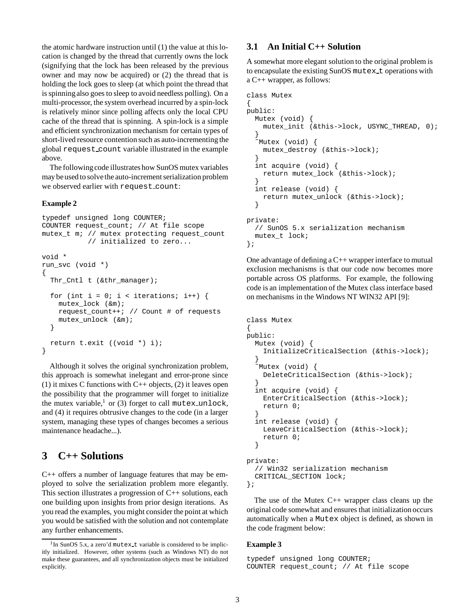the atomic hardware instruction until (1) the value at this location is changed by the thread that currently owns the lock (signifying that the lock has been released by the previous owner and may now be acquired) or (2) the thread that is holding the lock goes to sleep (at which point the thread that is spinningalso goes to sleep to avoid needless polling). On a multi-processor, the system overhead incurred by a spin-lock is relatively minor since polling affects only the local CPU cache of the thread that is spinning. A spin-lock is a simple and efficient synchronization mechanism for certain types of short-lived resource contention such as auto-incrementing the global request count variable illustrated in the example above.

The following code illustrates how SunOS mutex variables may be used to solve the auto-increment serialization problem we observed earlier with request count:

#### **Example 2**

```
typedef unsigned long COUNTER;
COUNTER request_count; // At file scope
mutex_t m; // mutex protecting request_count
           // initialized to zero...
void *
run_svc (void *)
{
  Thr_Cntl t (&thr_manager);
  for (int i = 0; i < iterations; i++) {
   mutex_lock (&m);
    request_count++; // Count # of requests
    mutex_unlock (&m);
  }
  return t.exit ((void *) i);
}
```
Although it solves the original synchronization problem, this approach is somewhat inelegant and error-prone since (1) it mixes C functions with  $C++$  objects, (2) it leaves open the possibility that the programmer will forget to initialize the mutex variable,<sup>1</sup> or (3) forget to call mutex unlock, and (4) it requires obtrusive changes to the code (in a larger system, managing these types of changes becomes a serious maintenance headache...).

## **3 C++ Solutions**

C++ offers a number of language features that may be employed to solve the serialization problem more elegantly. This section illustrates a progression of C++ solutions, each one building upon insights from prior design iterations. As you read the examples, you might consider the point at which you would be satisfied with the solution and not contemplate any further enhancements.

## **3.1 An Initial C++ Solution**

A somewhat more elegant solution to the original problem is to encapsulate the existing SunOS mutex t operations with a C++ wrapper, as follows:

```
class Mutex
{
public:
  Mutex (void) {
    mutex_init (&this->lock, USYNC_THREAD, 0);
  }
  ˜Mutex (void) {
    mutex_destroy (&this->lock);
  }
  int acquire (void) {
    return mutex_lock (&this->lock);
  }
  int release (void) {
    return mutex_unlock (&this->lock);
  }
private:
  // SunOS 5.x serialization mechanism
  mutex_t lock;
};
```
One advantage of defining a  $C_{++}$  wrapper interface to mutual exclusion mechanisms is that our code now becomes more portable across OS platforms. For example, the following code is an implementation of the Mutex class interface based on mechanisms in the Windows NT WIN32 API [9]:

```
class Mutex
{
public:
  Mutex (void) {
    InitializeCriticalSection (&this->lock);
  }
  ˜Mutex (void) {
    DeleteCriticalSection (&this->lock);
  }
  int acquire (void) {
    EnterCriticalSection (&this->lock);
    return 0;
  }
  int release (void) {
    LeaveCriticalSection (&this->lock);
    return 0;
  }
private:
  // Win32 serialization mechanism
  CRITICAL_SECTION lock;
};
```
The use of the Mutex  $C_{++}$  wrapper class cleans up the original code somewhat and ensures that initialization occurs automatically when a Mutex object is defined, as shown in the code fragment below:

#### **Example 3**

```
typedef unsigned long COUNTER;
COUNTER request_count; // At file scope
```
 $1$ In SunOS 5.x, a zero'd mutex\_t variable is considered to be implicitly initialized. However, other systems (such as Windows NT) do not make these guarantees, and all synchronization objects must be initialized explicitly.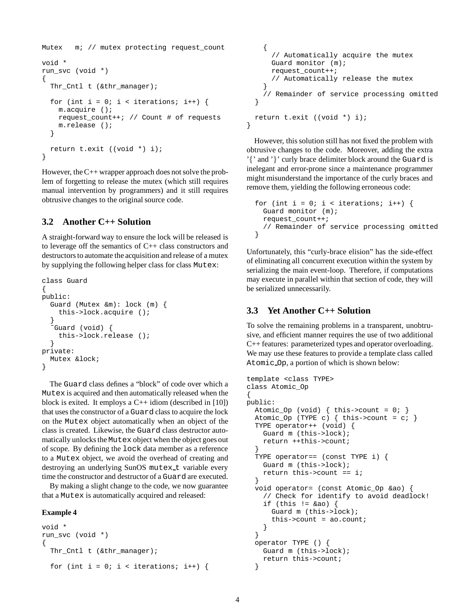```
Mutex m; // mutex protecting request_count
void *
run_svc (void *)
{
  Thr_Cntl t (&thr_manager);
  for (int i = 0; i < iterations; i++) {
   m.acquire ();
    request_count++; // Count # of requests
    m.release ();
  }
  return t.exit ((void *) i);
}
```
However, the C++ wrapper approach does not solve the problem of forgetting to release the mutex (which still requires manual intervention by programmers) and it still requires obtrusive changes to the original source code.

## **3.2 Another C++ Solution**

A straight-forward way to ensure the lock will be released is to leverage off the semantics of C++ class constructors and destructors to automate the acquisition and release of a mutex by supplying the following helper class for class Mutex:

```
class Guard
{
public:
  Guard (Mutex &m): lock (m) {
    this->lock.acquire ();
  }
   ˜Guard (void) {
    this->lock.release ();
  }
private:
 Mutex &lock;
}
```
The Guard class defines a "block" of code over which a Mutex is acquired and then automatically released when the block is exited. It employs a  $C_{++}$  idiom (described in [10]) that uses the constructor of a Guard class to acquire the lock on the Mutex object automatically when an object of the class is created. Likewise, the Guard class destructor automatically unlocks the Mutex object when the object goes out of scope. By defining the lock data member as a reference to a Mutex object, we avoid the overhead of creating and destroying an underlying SunOS mutex t variable every time the constructor and destructor of a Guard are executed.

By making a slight change to the code, we now guarantee that a Mutex is automatically acquired and released:

#### **Example 4**

```
void *
run_svc (void *)
{
  Thr_Cntl t (&thr_manager);
  for (int i = 0; i < iterations; i++) {
```

```
{
      // Automatically acquire the mutex
      Guard monitor (m);
      request_count++;
      // Automatically release the mutex
    }
    // Remainder of service processing omitted
  }
 return t.exit ((void *) i);
}
```
However, this solution still has not fixed the problem with obtrusive changes to the code. Moreover, adding the extra '{' and '}' curly brace delimiter block around the Guard is inelegant and error-prone since a maintenance programmer might misunderstand the importance of the curly braces and remove them, yielding the following erroneous code:

```
for (int i = 0; i < iterations; i++) {
 Guard monitor (m);
 request_count++;
  // Remainder of service processing omitted
}
```
Unfortunately, this "curly-brace elision" has the side-effect of eliminating all concurrent execution within the system by serializing the main event-loop. Therefore, if computations may execute in parallel within that section of code, they will be serialized unnecessarily.

## **3.3 Yet Another C++ Solution**

To solve the remaining problems in a transparent, unobtrusive, and efficient manner requires the use of two additional C++ features: parameterized types and operator overloading. We may use these features to provide a template class called Atomic Op, a portion of which is shown below:

```
template <class TYPE>
class Atomic_Op
{
public:
  Atomic_Op (void) \{ this ->count = 0; \}Atomic_Op (TYPE c) \{ this ->count = c; \}TYPE operator++ (void) {
    Guard m (this->lock);
    return ++this->count;
  }
  TYPE operator== (const TYPE i) {
    Guard m (this->lock);
    return this->count == i;
  }
  void operator= (const Atomic_Op &ao) {
    // Check for identify to avoid deadlock!
    if (this != \&ao) {
      Guard m (this->lock);
      this->count = ao.count;
    }
  }
  operator TYPE () {
    Guard m (this->lock);
    return this->count;
  }
```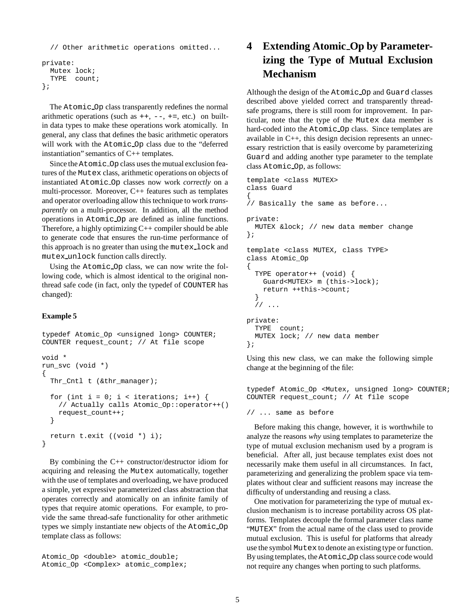```
// Other arithmetic operations omitted...
private:
 Mutex lock;
  TYPE count;
};
```
The Atomic Op class transparently redefines the normal arithmetic operations (such as  $++$ ,  $--$ ,  $+=$ , etc.) on builtin data types to make these operations work atomically. In general, any class that defines the basic arithmetic operators will work with the Atomic Op class due to the "deferred instantiation" semantics of C++ templates.

Since the Atomic Op class uses the mutual exclusion features of the Mutex class, arithmetic operations on objects of instantiated Atomic Op classes now work *correctly* on a multi-processor. Moreover, C++ features such as templates and operator overloading allow this technique to work *transparently* on a multi-processor. In addition, all the method operations in Atomic Op are defined as inline functions. Therefore, a highly optimizing  $C++$  compiler should be able to generate code that ensures the run-time performance of this approach is no greater than using the mutex lock and mutex unlock function calls directly.

Using the Atomic Op class, we can now write the following code, which is almost identical to the original nonthread safe code (in fact, only the typedef of COUNTER has changed):

### **Example 5**

typedef Atomic\_Op <unsigned long> COUNTER; COUNTER request\_count; // At file scope void \* run\_svc (void \*) { Thr\_Cntl t (&thr\_manager); for (int i = 0; i < iterations; i++) { // Actually calls Atomic\_Op::operator++() request\_count++; } return t.exit ((void \*) i); }

By combining the C++ constructor/destructor idiom for acquiring and releasing the Mutex automatically, together with the use of templates and overloading, we have produced a simple, yet expressive parameterized class abstraction that operates correctly and atomically on an infinite family of types that require atomic operations. For example, to provide the same thread-safe functionality for other arithmetic types we simply instantiate new objects of the Atomic Op template class as follows:

```
Atomic_Op <double> atomic_double;
Atomic_Op <Complex> atomic_complex;
```
# **4 Extending Atomic Op by Parameterizing the Type of Mutual Exclusion Mechanism**

Although the design of the Atomic Op and Guard classes described above yielded correct and transparently threadsafe programs, there is still room for improvement. In particular, note that the type of the Mutex data member is hard-coded into the Atomic Op class. Since templates are available in C++, this design decision represents an unnecessary restriction that is easily overcome by parameterizing Guard and adding another type parameter to the template class Atomic Op, as follows:

```
template <class MUTEX>
class Guard
{
// Basically the same as before...
private:
 MUTEX &lock; // new data member change
};
template <class MUTEX, class TYPE>
class Atomic_Op
{
  TYPE operator++ (void) {
    Guard<MUTEX> m (this->lock);
    return ++this->count;
  }
  \frac{1}{2}...
private:
 TYPE count;
 MUTEX lock; // new data member
};
```
Using this new class, we can make the following simple change at the beginning of the file:

typedef Atomic Op <Mutex, unsigned long> COUNTER; COUNTER request\_count; // At file scope

// ... same as before

Before making this change, however, it is worthwhile to analyze the reasons *why* using templates to parameterize the type of mutual exclusion mechanism used by a program is beneficial. After all, just because templates exist does not necessarily make them useful in all circumstances. In fact, parameterizing and generalizing the problem space via templates without clear and sufficient reasons may increase the difficulty of understanding and reusing a class.

One motivation for parameterizing the type of mutual exclusion mechanism is to increase portability across OS platforms. Templates decouple the formal parameter class name "MUTEX" from the actual name of the class used to provide mutual exclusion. This is useful for platforms that already use the symbol Mutex to denote an existing type or function. By using templates, the Atomic Op class source code would not require any changes when porting to such platforms.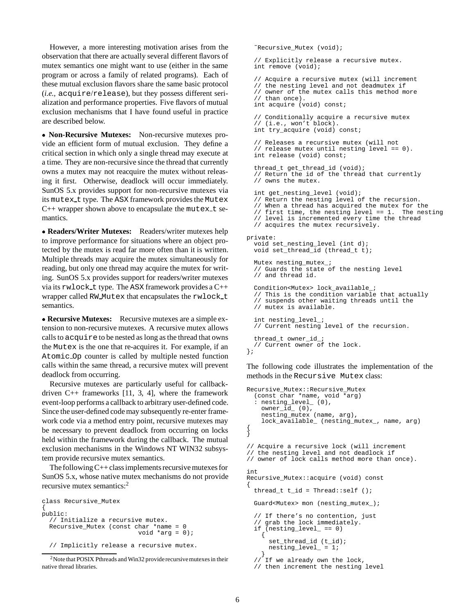However, a more interesting motivation arises from the observation that there are actually several different flavors of mutex semantics one might want to use (either in the same program or across a family of related programs). Each of these mutual exclusion flavors share the same basic protocol (*i.e.,* acquire/release), but they possess different serialization and performance properties. Five flavors of mutual exclusion mechanisms that I have found useful in practice are described below.

 **Non-Recursive Mutexes:** Non-recursive mutexes provide an efficient form of mutual exclusion. They define a critical section in which only a single thread may execute at a time. They are non-recursive since the thread that currently owns a mutex may not reacquire the mutex without releasing it first. Otherwise, deadlock will occur immediately. SunOS 5.x provides support for non-recursive mutexes via its mutex t type. The ASX framework provides the Mutex  $C++$  wrapper shown above to encapsulate the mutex\_t semantics.

 **Readers/Writer Mutexes:** Readers/writer mutexes help to improve performance for situations where an object protected by the mutex is read far more often than it is written. Multiple threads may acquire the mutex simultaneously for reading, but only one thread may acquire the mutex for writing. SunOS 5.x provides support for readers/writer mutexes via its rwlock t type. The ASX framework provides a C++ wrapper called RW\_Mutex that encapsulates the rwlock\_t semantics.

 **Recursive Mutexes:** Recursive mutexes are a simple extension to non-recursive mutexes. A recursive mutex allows calls to acquire to be nested as long as the thread that owns the Mutex is the one that re-acquires it. For example, if an Atomic Op counter is called by multiple nested function calls within the same thread, a recursive mutex will prevent deadlock from occurring.

Recursive mutexes are particularly useful for callbackdriven  $C_{++}$  frameworks [11, 3, 4], where the framework event-loop performs a callback to arbitrary user-defined code. Since the user-defined code may subsequently re-enter framework code via a method entry point, recursive mutexes may be necessary to prevent deadlock from occurring on locks held within the framework during the callback. The mutual exclusion mechanisms in the Windows NT WIN32 subsystem provide recursive mutex semantics.

The following C++ class implements recursive mutexes for SunOS 5.x, whose native mutex mechanisms do not provide recursive mutex semantics:<sup>2</sup>

```
class Recursive_Mutex
{
public:
  // Initialize a recursive mutex.
 Recursive_Mutex (const char *name = 0
                          void *arg = 0);
  // Implicitly release a recursive mutex.
```
˜Recursive\_Mutex (void); // Explicitly release a recursive mutex. int remove (void); // Acquire a recursive mutex (will increment // the nesting level and not deadmutex if // owner of the mutex calls this method more // than once). int acquire (void) const; // Conditionally acquire a recursive mutex // (i.e., won't block). int try\_acquire (void) const; // Releases a recursive mutex (will not // release mutex until nesting level == 0). int release (void) const; thread\_t get\_thread\_id (void); // Return the id of the thread that currently // owns the mutex. int get\_nesting\_level (void); // Return the nesting level of the recursion. // When a thread has acquired the mutex for the<br>// first time, the nesting level == 1. The nesting // first time, the nesting level ==  $1$ . // level is incremented every time the thread // acquires the mutex recursively. private: void set\_nesting\_level (int d); void set\_thread\_id (thread\_t t); Mutex\_nesting\_mutex\_; // Guards the state of the nesting level // and thread id. Condition<Mutex> lock\_available\_; // This is the condition variable that actually // suspends other waiting threads until the // mutex is available. int nesting level ; // Current nesting level of the recursion. thread\_t owner\_id\_; // Current owner of the lock. };

The following code illustrates the implementation of the methods in the Recursive Mutex class:

```
Recursive_Mutex::Recursive_Mutex
  (const char *name, void *\text{arg})
  : nesting_level_ (0),
    owner_id_ (0),
    nesting_mutex (name, arg),
    lock_available_ (nesting_mutex_, name, arg)
{
}
// Acquire a recursive lock (will increment
// the nesting level and not deadlock if
// owner of lock calls method more than once).
int
Recursive_Mutex::acquire (void) const
{
  thread_t t_id = Thread::self();
  Guard<Mutex> mon (nesting_mutex_);
  // If there's no contention, just
  // grab the lock immediately.
 if (nesting_level_ == 0)
    {
      set_thread_id (t_id);
      nesting_level_ = 1;
    }
  // If we already own the lock,
  // then increment the nesting level
```
<sup>&</sup>lt;sup>2</sup>Note that POSIX Pthreads and Win32 provide recursive mutexes in their native thread libraries.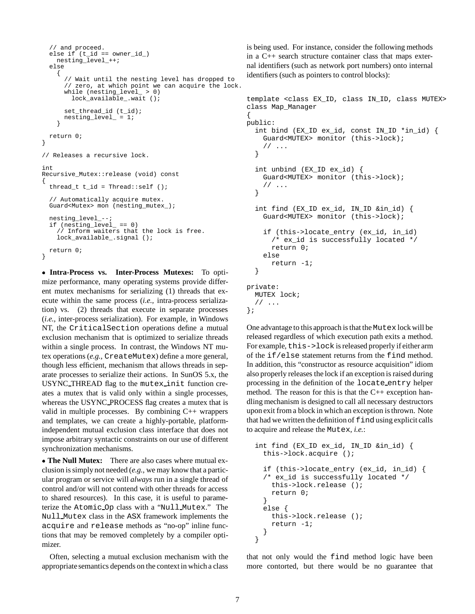```
// and proceed.
  else if (t_id == owner_id)nesting_level_++;
  else
    {
      // Wait until the nesting level has dropped to
      // zero, at which point we can acquire the lock.
      while (nesting_level_ > 0)
        lock_available_.wait ();
      set_thread_id (t_id);
      nesting_level_ = 1;
    }
 return 0;
}
// Releases a recursive lock.
int
Recursive_Mutex::release (void) const
{
  thread_t t_id = Thread::self ();
  // Automatically acquire mutex.
  Guard<Mutex> mon (nesting_mutex_);
  nesting_level_--;
  if (nesting_level_ == 0)
     // Inform waiters that the lock is free.
    lock_available_.signal ();
 return 0;
}
```
 **Intra-Process vs. Inter-Process Mutexes:** To optimize performance, many operating systems provide different mutex mechanisms for serializing (1) threads that execute within the same process (*i.e.,* intra-process serialization) vs. (2) threads that execute in separate processes (*i.e.,* inter-process serialization). For example, in Windows NT, the CriticalSection operations define a mutual exclusion mechanism that is optimized to serialize threads within a single process. In contrast, the Windows NT mutex operations (*e.g.,* CreateMutex) define a more general, though less efficient, mechanism that allows threads in separate processes to serialize their actions. In SunOS 5.x, the USYNC THREAD flag to the mutex init function creates a mutex that is valid only within a single processes, whereas the USYNC PROCESS flag creates a mutex that is valid in multiple processes. By combining  $C_{++}$  wrappers and templates, we can create a highly-portable, platformindependent mutual exclusion class interface that does not impose arbitrary syntactic constraints on our use of different synchronization mechanisms.

 **The Null Mutex:** There are also cases where mutual exclusion is simply not needed (*e.g.,* we may know that a particular program or service will *always* run in a single thread of control and/or will not contend with other threads for access to shared resources). In this case, it is useful to parameterize the Atomic Op class with a "Null Mutex." The Null Mutex class in the ASX framework implements the acquire and release methods as "no-op" inline functions that may be removed completely by a compiler optimizer.

Often, selecting a mutual exclusion mechanism with the appropriate semantics depends on the context in which a class

is being used. For instance, consider the following methods in a C++ search structure container class that maps external identifiers (such as network port numbers) onto internal identifiers (such as pointers to control blocks):

```
template <class EX_ID, class IN_ID, class MUTEX>
class Map_Manager
```

```
{
public:
  int bind (EX_ID ex_id, const IN_ID *in_id) {
    Guard<MUTEX> monitor (this->lock);
    // ...
  }
  int unbind (EX_ID ex_id) {
    Guard<MUTEX> monitor (this->lock);
    // ...
  }
  int find (EX_ID ex_id, IN_ID &in_id) {
    Guard<MUTEX> monitor (this->lock);
    if (this->locate_entry (ex_id, in_id)
      /* ex id is successfully located */return 0;
    else
      return -1;
  }
private:
  MUTEX lock;
  // ...
};
```
One advantage to this approach is that the Mutex lock will be released regardless of which execution path exits a method. For example, this->lock is released properly if either arm of the if/else statement returns from the find method. In addition, this "constructor as resource acquisition" idiom also properly releases the lock if an exception is raised during processing in the definition of the locate entry helper method. The reason for this is that the  $C++$  exception handling mechanism is designed to call all necessary destructors upon exit from a block in which an exception is thrown. Note that had we written the definition of  $f$  ind using explicit calls to acquire and release the Mutex, *i.e.*:

```
int find (EX_ID ex_id, IN_ID &in_id) {
  this->lock.acquire ();
 if (this->locate_entry (ex_id, in_id) {
  /* ex id is successfully located */
    this->lock.release ();
   return 0;
  }
 else {
   this->lock.release ();
   return -1;
  }
}
```
that not only would the find method logic have been more contorted, but there would be no guarantee that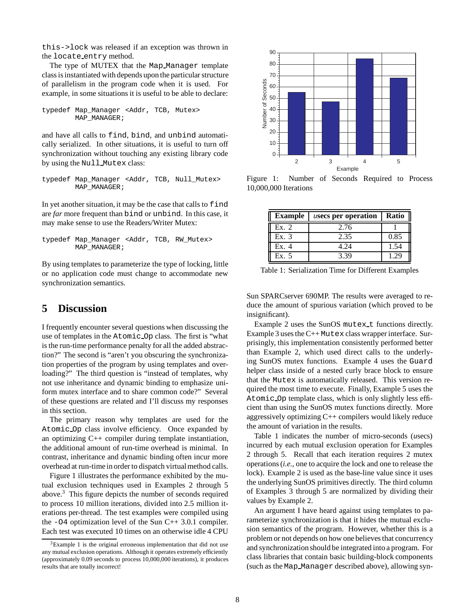this->lock was released if an exception was thrown in the locate entry method.

The type of MUTEX that the Map\_Manager template class is instantiated with depends upon the particular structure of parallelism in the program code when it is used. For example, in some situations it is useful to be able to declare:

```
typedef Map_Manager <Addr, TCB, Mutex>
       MAP_MANAGER;
```
and have all calls to find, bind, and unbind automatically serialized. In other situations, it is useful to turn off synchronization without touching any existing library code by using the Null Mutex class:

```
typedef Map_Manager <Addr, TCB, Null_Mutex>
       MAP_MANAGER;
```
In yet another situation, it may be the case that calls to find are *far* more frequent than bind or unbind. In this case, it may make sense to use the Readers/Writer Mutex:

```
typedef Map_Manager <Addr, TCB, RW_Mutex>
       MAP_MANAGER;
```
By using templates to parameterize the type of locking, little or no application code must change to accommodate new synchronization semantics.

# **5 Discussion**

I frequently encounter several questions when discussing the use of templates in the Atomic Op class. The first is "what is the run-time performance penalty for all the added abstraction?" The second is "aren't you obscuring the synchronization properties of the program by using templates and overloading?" The third question is "instead of templates, why not use inheritance and dynamic binding to emphasize uniform mutex interface and to share common code?" Several of these questions are related and I'll discuss my responses in this section.

The primary reason why templates are used for the Atomic Op class involve efficiency. Once expanded by an optimizing C++ compiler during template instantiation, the additional amount of run-time overhead is minimal. In contrast, inheritance and dynamic binding often incur more overhead at run-time in order to dispatch virtual method calls.

Figure 1 illustrates the performance exhibited by the mutual exclusion techniques used in Examples 2 through 5 above.3 This figure depicts the number of seconds required to process 10 million iterations, divided into 2.5 million iterations per-thread. The test examples were compiled using the -O4 optimization level of the Sun C++ 3.0.1 compiler. Each test was executed 10 times on an otherwise idle 4 CPU



Figure 1: Number of Seconds Required to Process 10,000,000 Iterations

| <b>Example</b> | <i>usecs</i> per operation | Ratio |  |
|----------------|----------------------------|-------|--|
| Ex. 2          | 2.76                       |       |  |
| Ex. 3          | 2.35                       | 0.85  |  |
| Ex. 4          | 4.24                       | 1.54  |  |
| Ex.5           | 3.39                       | 1 29  |  |

Table 1: Serialization Time for Different Examples

Sun SPARCserver 690MP. The results were averaged to reduce the amount of spurious variation (which proved to be insignificant).

Example 2 uses the SunOS mutex\_t functions directly. Example 3 uses the C++ Mutex class wrapper interface. Surprisingly, this implementation consistently performed better than Example 2, which used direct calls to the underlying SunOS mutex functions. Example 4 uses the Guard helper class inside of a nested curly brace block to ensure that the Mutex is automatically released. This version required the most time to execute. Finally, Example 5 uses the Atomic Op template class, which is only slightly less efficient than using the SunOS mutex functions directly. More aggressively optimizing C++ compilers would likely reduce the amount of variation in the results.

Table 1 indicates the number of micro-seconds (*u*secs) incurred by each mutual exclusion operation for Examples 2 through 5. Recall that each iteration requires 2 mutex operations (*i.e.,* one to acquire the lock and one to release the lock). Example 2 is used as the base-line value since it uses the underlying SunOS primitives directly. The third column of Examples 3 through 5 are normalized by dividing their values by Example 2.

An argument I have heard against using templates to parameterize synchronization is that it hides the mutual exclusion semantics of the program. However, whether this is a problem or not depends on how one believes that concurrency and synchronization should be integrated into a program. For class libraries that contain basic building-block components (such as the Map Manager described above), allowing syn-

 $3$ Example 1 is the original erroneous implementation that did not use any mutual exclusion operations. Although it operates extremely efficiently (approximately 0.09 seconds to process 10,000,000 iterations), it produces results that are totally incorrect!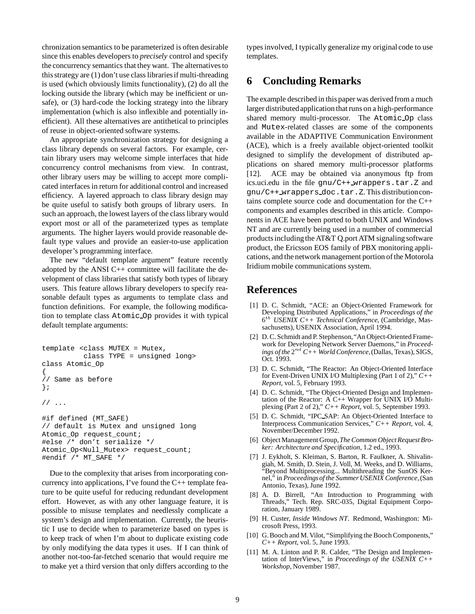chronization semantics to be parameterized is often desirable since this enables developers to *precisely* control and specify the concurrency semantics that they want. The alternatives to this strategy are (1) don't use class libraries if multi-threading is used (which obviously limits functionality), (2) do all the locking outside the library (which may be inefficient or unsafe), or (3) hard-code the locking strategy into the library implementation (which is also inflexible and potentially inefficient). All these alternatives are antithetical to principles of reuse in object-oriented software systems.

An appropriate synchronization strategy for designing a class library depends on several factors. For example, certain library users may welcome simple interfaces that hide concurrency control mechanisms from view. In contrast, other library users may be willing to accept more complicated interfaces in return for additional control and increased efficiency. A layered approach to class library design may be quite useful to satisfy both groups of library users. In such an approach, the lowest layers of the class library would export most or all of the parameterized types as template arguments. The higher layers would provide reasonable default type values and provide an easier-to-use application developer's programming interface.

The new "default template argument" feature recently adopted by the ANSI  $C++$  committee will facilitate the development of class libraries that satisfy both types of library users. This feature allows library developers to specify reasonable default types as arguments to template class and function definitions. For example, the following modification to template class Atomic Op provides it with typical default template arguments:

```
template <class MUTEX = Mutex,
          class TYPE = unsigned long>
class Atomic_Op
{
// Same as before
};
// ...
#if defined (MT_SAFE)
// default is Mutex and unsigned long
Atomic_Op request_count;
#else /* don't serialize */
Atomic_Op<Null_Mutex> request_count;
```
#endif /\* MT\_SAFE \*/

Due to the complexity that arises from incorporating concurrency into applications, I've found the  $C++$  template feature to be quite useful for reducing redundant development effort. However, as with any other language feature, it is possible to misuse templates and needlessly complicate a system's design and implementation. Currently, the heuristic I use to decide when to parameterize based on types is to keep track of when I'm about to duplicate existing code by only modifying the data types it uses. If I can think of another not-too-far-fetched scenario that would require me to make yet a third version that only differs according to the

types involved, I typically generalize my original code to use templates.

# **6 Concluding Remarks**

The example described in this paper was derived from a much larger distributed application that runs on a high-performance shared memory multi-processor. The Atomic Op class and Mutex-related classes are some of the components available in the ADAPTIVE Communication Environment (ACE), which is a freely available object-oriented toolkit designed to simplify the development of distributed applications on shared memory multi-processor platforms [12]. ACE may be obtained via anonymous ftp from ics.uci.edu in the file gnu/C++ wrappers.tar.Z and gnu/C++ wrappers doc.tar.Z. This distributioncontains complete source code and documentation for the C++ components and examples described in this article. Components in ACE have been ported to both UNIX and Windows NT and are currently being used in a number of commercial products includingthe AT&T Q.port ATM signaling software product, the Ericsson EOS family of PBX monitoring applications, and the network management portion of the Motorola Iridium mobile communications system.

# **References**

- [1] D. C. Schmidt, "ACE: an Object-Oriented Framework for Developing Distributed Applications," in *Proceedings of the* 6th *USENIX C++ Technical Conference*, (Cambridge, Massachusetts), USENIX Association, April 1994.
- [2] D. C. Schmidt and P. Stephenson, "An Object-Oriented Framework for Developing Network Server Daemons," in *Proceedings of the*  $2^{nd}$   $C++$  *World Conference*, (Dallas, Texas), SIGS, Oct. 1993.
- [3] D. C. Schmidt, "The Reactor: An Object-Oriented Interface for Event-Driven UNIX I/O Multiplexing (Part 1 of 2)," *C++ Report*, vol. 5, February 1993.
- [4] D. C. Schmidt, "The Object-Oriented Design and Implementation of the Reactor: A C++ Wrapper for UNIX I/O Multiplexing (Part 2 of 2)," *C++ Report*, vol. 5, September 1993.
- [5] D. C. Schmidt, "IPC SAP: An Object-Oriented Interface to Interprocess Communication Services," *C++ Report*, vol. 4, November/December 1992.
- [6] Object Management Group,*The Common Object Request Broker: Architecture and Specification*, 1.2 ed., 1993.
- [7] J. Eykholt, S. Kleiman, S. Barton, R. Faulkner, A. Shivalingiah, M. Smith, D. Stein, J. Voll, M. Weeks, and D. Williams, "Beyond Multiprocessing... Multithreading the SunOS Kernel," in *Proceedingsof the Summer USENIX Conference*,(San Antonio, Texas), June 1992.
- [8] A. D. Birrell, "An Introduction to Programming with Threads," Tech. Rep. SRC-035, Digital Equipment Corporation, January 1989.
- [9] H. Custer, *Inside Windows NT*. Redmond, Washington: Microsoft Press, 1993.
- [10] G. Booch and M. Vilot, "Simplifying the Booch Components," *C++ Report*, vol. 5, June 1993.
- [11] M. A. Linton and P. R. Calder, "The Design and Implementation of InterViews," in *Proceedings of the USENIX C++ Workshop*, November 1987.